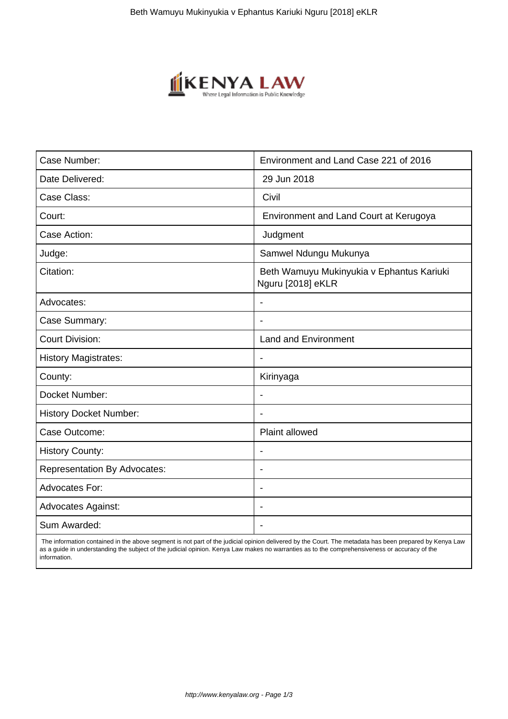

| Case Number:                        | Environment and Land Case 221 of 2016                          |
|-------------------------------------|----------------------------------------------------------------|
| Date Delivered:                     | 29 Jun 2018                                                    |
| Case Class:                         | Civil                                                          |
| Court:                              | Environment and Land Court at Kerugoya                         |
| Case Action:                        | Judgment                                                       |
| Judge:                              | Samwel Ndungu Mukunya                                          |
| Citation:                           | Beth Wamuyu Mukinyukia v Ephantus Kariuki<br>Nguru [2018] eKLR |
| Advocates:                          |                                                                |
| Case Summary:                       |                                                                |
| <b>Court Division:</b>              | <b>Land and Environment</b>                                    |
| <b>History Magistrates:</b>         | $\blacksquare$                                                 |
| County:                             | Kirinyaga                                                      |
| Docket Number:                      |                                                                |
| <b>History Docket Number:</b>       |                                                                |
| Case Outcome:                       | <b>Plaint allowed</b>                                          |
| <b>History County:</b>              | $\overline{\phantom{a}}$                                       |
| <b>Representation By Advocates:</b> |                                                                |
| Advocates For:                      | ۰                                                              |
| <b>Advocates Against:</b>           |                                                                |
| Sum Awarded:                        |                                                                |

 The information contained in the above segment is not part of the judicial opinion delivered by the Court. The metadata has been prepared by Kenya Law as a guide in understanding the subject of the judicial opinion. Kenya Law makes no warranties as to the comprehensiveness or accuracy of the information.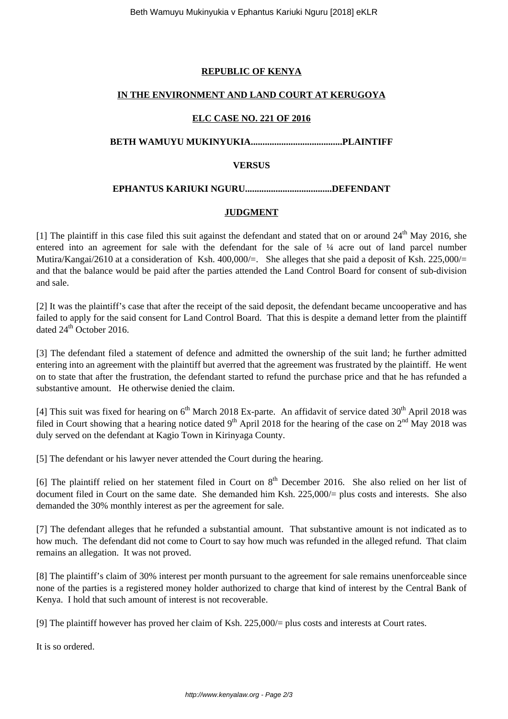# **REPUBLIC OF KENYA**

## **IN THE ENVIRONMENT AND LAND COURT AT KERUGOYA**

### **ELC CASE NO. 221 OF 2016**

### **BETH WAMUYU MUKINYUKIA.......................................PLAINTIFF**

### **VERSUS**

# **EPHANTUS KARIUKI NGURU.....................................DEFENDANT**

### **JUDGMENT**

[1] The plaintiff in this case filed this suit against the defendant and stated that on or around  $24<sup>th</sup>$  May 2016, she entered into an agreement for sale with the defendant for the sale of ¼ acre out of land parcel number Mutira/Kangai/2610 at a consideration of Ksh. 400,000/=. She alleges that she paid a deposit of Ksh. 225,000/= and that the balance would be paid after the parties attended the Land Control Board for consent of sub-division and sale.

[2] It was the plaintiff's case that after the receipt of the said deposit, the defendant became uncooperative and has failed to apply for the said consent for Land Control Board. That this is despite a demand letter from the plaintiff dated 24<sup>th</sup> October 2016.

[3] The defendant filed a statement of defence and admitted the ownership of the suit land; he further admitted entering into an agreement with the plaintiff but averred that the agreement was frustrated by the plaintiff. He went on to state that after the frustration, the defendant started to refund the purchase price and that he has refunded a substantive amount. He otherwise denied the claim.

[4] This suit was fixed for hearing on  $6<sup>th</sup>$  March 2018 Ex-parte. An affidavit of service dated 30<sup>th</sup> April 2018 was filed in Court showing that a hearing notice dated  $9<sup>th</sup>$  April 2018 for the hearing of the case on  $2<sup>nd</sup>$  May 2018 was duly served on the defendant at Kagio Town in Kirinyaga County.

[5] The defendant or his lawyer never attended the Court during the hearing.

[6] The plaintiff relied on her statement filed in Court on  $8<sup>th</sup>$  December 2016. She also relied on her list of document filed in Court on the same date. She demanded him Ksh. 225,000/= plus costs and interests. She also demanded the 30% monthly interest as per the agreement for sale.

[7] The defendant alleges that he refunded a substantial amount. That substantive amount is not indicated as to how much. The defendant did not come to Court to say how much was refunded in the alleged refund. That claim remains an allegation. It was not proved.

[8] The plaintiff's claim of 30% interest per month pursuant to the agreement for sale remains unenforceable since none of the parties is a registered money holder authorized to charge that kind of interest by the Central Bank of Kenya. I hold that such amount of interest is not recoverable.

[9] The plaintiff however has proved her claim of Ksh. 225,000/= plus costs and interests at Court rates.

It is so ordered.